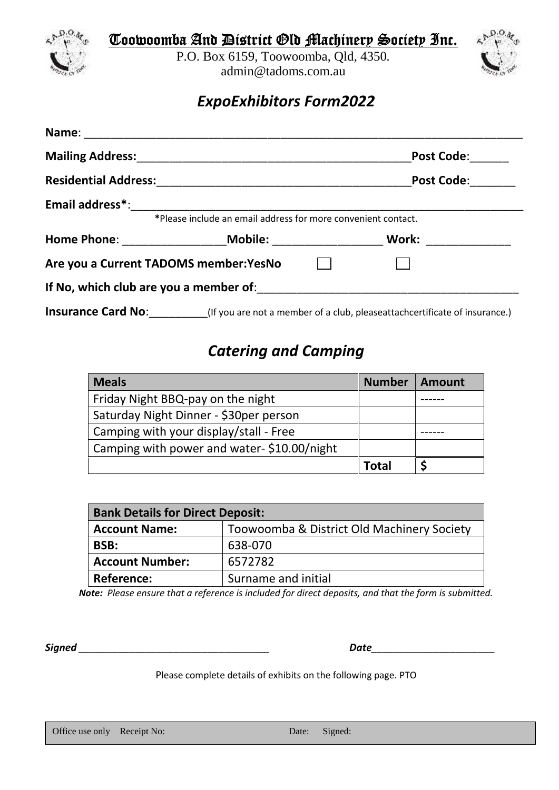

**Toowoomba And District Old Machinery Society Inc.**

P.O. Box 6159, Toowoomba, Qld, 4350*.* admin@tadoms.com.au



## *ExpoExhibitors Form2022*

|                                        | Mailing Address: Mailing Address: Mailing Address: Mailing Address: Mail 1999          | <b>Post Code:</b>                                                                                      |
|----------------------------------------|----------------------------------------------------------------------------------------|--------------------------------------------------------------------------------------------------------|
|                                        | Residential Address: Management Presidential Address: Management Presidential Address: | <b>Post Code:</b>                                                                                      |
|                                        |                                                                                        |                                                                                                        |
|                                        | *Please include an email address for more convenient contact.                          |                                                                                                        |
|                                        |                                                                                        | Work: _____________                                                                                    |
| Are you a Current TADOMS member: YesNo |                                                                                        |                                                                                                        |
|                                        |                                                                                        |                                                                                                        |
|                                        |                                                                                        | Insurance Card No: _________(If you are not a member of a club, pleaseattachcertificate of insurance.) |

## *Catering and Camping*

| <b>Meals</b>                               | <b>Number</b> | Amount |
|--------------------------------------------|---------------|--------|
| Friday Night BBQ-pay on the night          |               |        |
| Saturday Night Dinner - \$30per person     |               |        |
| Camping with your display/stall - Free     |               |        |
| Camping with power and water-\$10.00/night |               |        |
|                                            | Total         |        |

| <b>Bank Details for Direct Deposit:</b> |                                            |  |
|-----------------------------------------|--------------------------------------------|--|
| <b>Account Name:</b>                    | Toowoomba & District Old Machinery Society |  |
| BSB:                                    | 638-070                                    |  |
| <b>Account Number:</b>                  | 6572782                                    |  |
| Reference:                              | Surname and initial                        |  |

*Note: Please ensure that a reference is included for direct deposits, and that the form is submitted.*

*Signed \_\_\_\_\_\_\_\_\_\_\_\_\_\_\_\_\_\_\_\_\_\_\_\_\_\_\_\_\_\_\_\_\_\_ Date\_\_\_\_\_\_\_\_\_\_\_\_\_\_\_\_\_\_\_\_\_\_*

Please complete details of exhibits on the following page. PTO